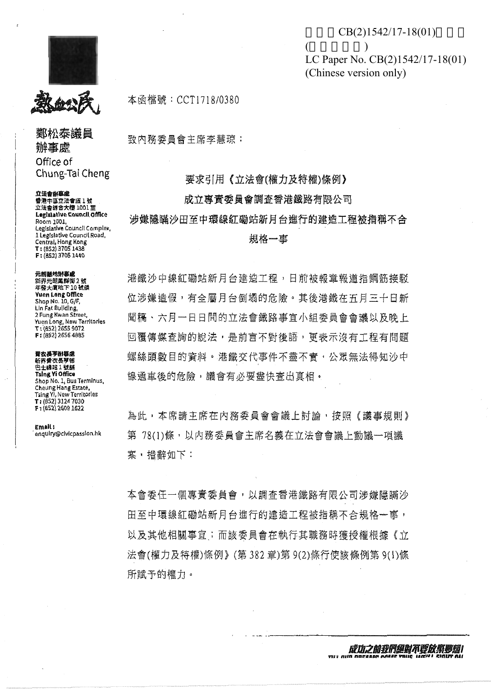教的书

鄭松泰議員 辦事處 Office of Chung-Tai Cheng

立法會的事虛 番港中區立法會道1號 立法會錄含大橙 1001至 Legislative Council Office Room 1001. Legislative Council Complex, I Legislative Council Road, Central, Hong Kong F: (852) 3705 1440

元朗酸地粉癣成 新界元朗鳳群街2號 年登大廈地下10號額 **Yuen Long Office** Shop No. 10, G/F, Lin Fat Building, 2 Fung Kwan Street, Yuen Long, New Territories T: (852) 2655 9072 F: (852) 2656 4885

資衣長亨餅事品 新界爾改長學昭 巴士婦站1號額 Tsing Vi Office Shop No. 1, Bus Terminus, Cheung Hang Estate, Tsing Yi, New Territories<br>T: (852) 3124 7030 F: (852) 2609 1622

Email: enquiry@civicpassion.hk 本函檔號:CCT1718/0380

致内務委員會主席李慧琼:

要求引用《立法會(權力及特權)條例》

 $\overline{ }$ 

## 成立專賣季員會調査香港鐵路有限公司

涉嫌隱瞞沙田至中環線紅磡站新月台進行的建造工程被指稱不合

規格一事

港鐵沙中線紅磡站新月台建造工程,日前被報章報道指鋼筋接駁 位涉嫌造假,有全屬月台倒塌的危險。其後港鐵在五月三十日新 聞稿、六月一日日間的立法會鐵路事宜小組委員會會議以及晚上 回覆傳媒查詢的說法,是前言不對後語,更表示沒有工程有問題 螺絲頭數目的資料。港鐵交代事件不盡不實,公眾無法得知沙中 線通車後的危險,議會有必要盡快查出寘相。

為此,本席請主席在內務委員會會議上討論,按照《議事規則》 第 78(1)條,以內務委員會主席名義在立法會會議上動議一項議 案, 措辭如下:

本會委任一個專責委員會,以調查香港鐵路有限公司涉嫌隱瞞沙 田至中環線紅磡站新月台進行的建造工程被指稱不合規格一事, 以及其他相關事宜;而該委員會在執行其職務時獲授權根據《立 法會(權力及特權)條例》(第382章)第9(2)條行使該條例第9(1)條 所賦予的權力。

 $CB(2)1542/17-18(01)$ 

LC Paper No. CB(2)1542/17-18(01)

 $\lambda$ 

(Chinese version only)